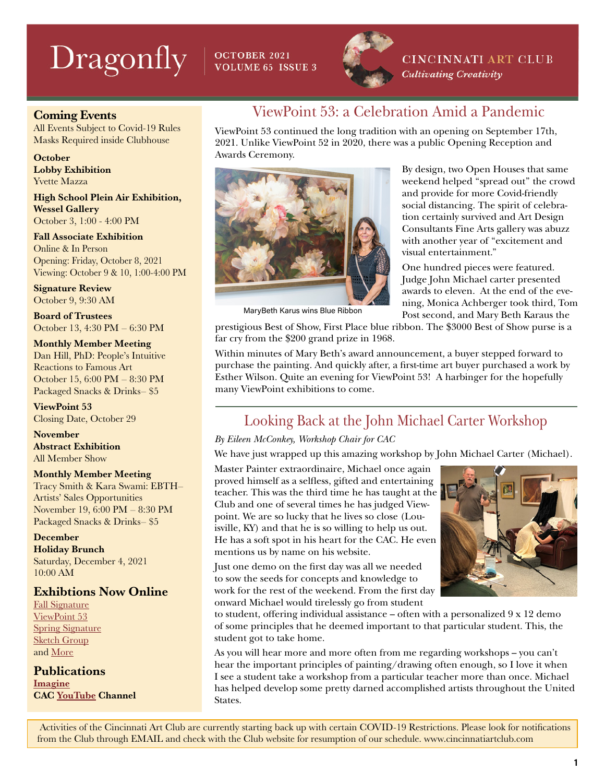# $\text{Dragonly}$  |  $\text{occagger 2021}$



**CINCINNATI ART CLUB** Cultivating Creativity

#### Coming Events

All Events Subject to Covid-19 Rules Masks Required inside Clubhouse

**October** Lobby Exhibition Yvette Mazza

High School Plein Air Exhibition, Wessel Gallery October 3, 1:00 - 4:00 PM

Fall Associate Exhibition Online & In Person Opening: Friday, October 8, 2021 Viewing: October 9 & 10, 1:00-4:00 PM

Signature Review October 9, 9:30 AM

Board of Trustees October 13, 4:30 PM – 6:30 PM

Monthly Member Meeting Dan Hill, PhD: People's Intuitive Reactions to Famous Art October 15, 6:00 PM – 8:30 PM Packaged Snacks & Drinks– \$5

ViewPoint 53 Closing Date, October 29

November Abstract Exhibition All Member Show

#### Monthly Member Meeting

Tracy Smith & Kara Swami: EBTH– Artists' Sales Opportunities November 19, 6:00 PM – 8:30 PM Packaged Snacks & Drinks– \$5

December Holiday Brunch Saturday, December 4, 2021 10:00 AM

#### Exhibtions Now Online

[Fall Signature](https://cincinnatiartclub.org/signature-exhibition-fall-2021/) [ViewPoint 53](https://cincinnatiartclub.org/viewpoint/) [Spring Signature](https://cincinnatiartclub.org/signature-exhibition-spring-2021/) [Sketch Group](https://cincinnatiartclub.org/2021-sketch-group-exhibition/) and [More](http://www.cincinnatiartclub.com/index.html)

**Publications** [Imagine](https://cincinnatiartclub.org/community/imagine-magazine/) CAC [YouTube](https://www.youtube.com/channel/UCUfJGPsIhKnIrCSoALXW2LA) Channel

### ViewPoint 53: a Celebration Amid a Pandemic

ViewPoint 53 continued the long tradition with an opening on September 17th, 2021. Unlike ViewPoint 52 in 2020, there was a public Opening Reception and Awards Ceremony.



MaryBeth Karus wins Blue Ribbon

By design, two Open Houses that same weekend helped "spread out" the crowd and provide for more Covid-friendly social distancing. The spirit of celebration certainly survived and Art Design Consultants Fine Arts gallery was abuzz with another year of "excitement and visual entertainment."

One hundred pieces were featured. Judge John Michael carter presented awards to eleven. At the end of the evening, Monica Achberger took third, Tom Post second, and Mary Beth Karaus the

prestigious Best of Show, First Place blue ribbon. The \$3000 Best of Show purse is a far cry from the \$200 grand prize in 1968.

Within minutes of Mary Beth's award announcement, a buyer stepped forward to purchase the painting. And quickly after, a first-time art buyer purchased a work by Esther Wilson. Quite an evening for ViewPoint 53! A harbinger for the hopefully many ViewPoint exhibitions to come.

### Looking Back at the John Michael Carter Workshop

#### *By Eileen McConkey, Workshop Chair for CAC*

We have just wrapped up this amazing workshop by John Michael Carter (Michael).

Master Painter extraordinaire, Michael once again proved himself as a selfless, gifted and entertaining teacher. This was the third time he has taught at the Club and one of several times he has judged Viewpoint. We are so lucky that he lives so close (Louisville, KY) and that he is so willing to help us out. He has a soft spot in his heart for the CAC. He even mentions us by name on his website.

Just one demo on the first day was all we needed to sow the seeds for concepts and knowledge to work for the rest of the weekend. From the first day onward Michael would tirelessly go from student



to student, offering individual assistance – often with a personalized 9 x 12 demo of some principles that he deemed important to that particular student. This, the student got to take home.

As you will hear more and more often from me regarding workshops – you can't hear the important principles of painting/drawing often enough, so I love it when I see a student take a workshop from a particular teacher more than once. Michael has helped develop some pretty darned accomplished artists throughout the United **States**.

 Activities of the Cincinnati Art Club are currently starting back up with certain COVID-19 Restrictions. Please look for notifications from the Club through EMAIL and check with the Club website for resumption of our schedule. www.cincinnatiartclub.com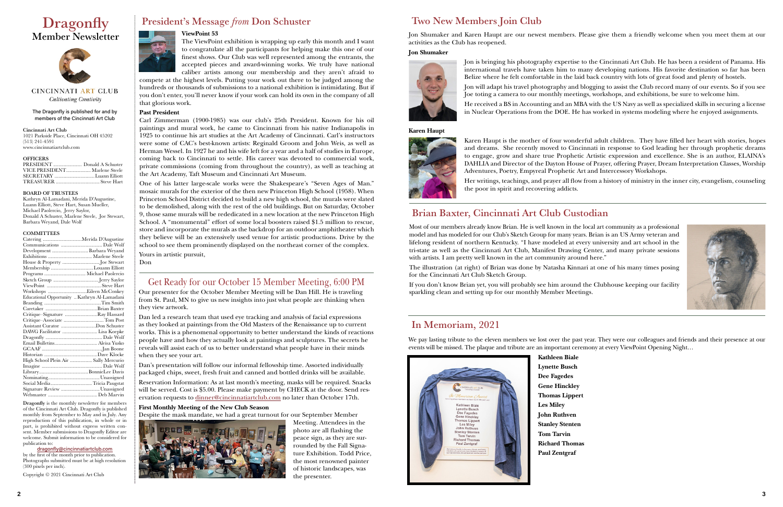#### The Dragonfly is published for and by members of the Cincinnati Art Club

Cincinnati Art Club 1021 Parkside Place, Cincinnati OH 45202 (513) 241-4591 www.cincinnatiartclub.com

#### **OFFICERS**

| VICE PRESIDENT Marlene Steele |  |
|-------------------------------|--|
|                               |  |
|                               |  |

#### BOARD OF TRUSTEES

Kathryn Al-Lamadani, Merida D'Augustine, Luann Elliott, Steve Hart, Susan Mueller, Michael Paolercio, Jerry Saylor, Donald A Schuster, Marlene Steele, Joe Stewart, Barbara Weyand, Dale Wolf

#### **COMMITTEES**

## **Dragonfly** Member Newsletter



CINCINNATI ART CLUB **Cultivating Creativity** 

|                                       | Catering Merida D'Augustine                  |
|---------------------------------------|----------------------------------------------|
|                                       |                                              |
|                                       | Development  Barbara Weyand                  |
|                                       |                                              |
|                                       | House & Property Joe Stewart                 |
|                                       | Membership Louann Elliott                    |
| Programs  Michael Paolercio           |                                              |
|                                       |                                              |
|                                       |                                              |
|                                       |                                              |
|                                       | Educational Opportunity  Kathryn Al-Lamadani |
|                                       |                                              |
|                                       |                                              |
|                                       | Critique–Signature Ray Hassard               |
|                                       | Critique-Associate  Tom Post                 |
|                                       | Assistant Curator Don Schuster               |
|                                       | DAWG Facilitator  Lisa Koepke                |
|                                       |                                              |
|                                       |                                              |
|                                       |                                              |
|                                       |                                              |
| High School Plein Air  Sally Mercurio |                                              |
|                                       |                                              |
|                                       |                                              |
|                                       |                                              |
|                                       | Social Media Tricia Paugstat                 |
|                                       | Signature Review Unassigned                  |
|                                       |                                              |

Dragonfly is the monthly newsletter for members of the Cincinnati Art Club. Dragonfly is published monthly from September to May and in July. Any reproduction of this publication, in whole or in part, is prohibited without express written consent. Member submissions to Dragonfly Editor are welcome. Submit information to be considered for publication to:

#### [dragonfly@cincinnatiartclub.com](mailto:dragonfly%40cincinnatiartclub.com?subject=dragonfly%40cincinnatiartclub.com)

by the first of the month prior to publication. Photographs submitted must be at high resolution (300 pixels per inch).

Copyright © 2021 Cincinnati Art Club



### President's Message *from* Don Schuster

#### **ViewPoint 53**



Most of our members already know Brian. He is well known in the local art community as a professional model and has modeled for our Club's Sketch Group for many years. Brian is an US Army veteran and lifelong resident of northern Kentucky. "I have modeled at every university and art school in the tri-state as well as the Cincinnati Art Club, Manifest Drawing Center, and many private sessions with artists. I am pretty well known in the art community around here."

compete at the highest levels. Putting your work out there to be judged among the hundreds or thousands of submissions to a national exhibition is intimidating. But if you don't enter, you'll never know if your work can hold its own in the company of all that glorious work.

#### **Past President**

Carl Zimmerman (1900-1985) was our club's 25th President. Known for his oil paintings and mural work, he came to Cincinnati from his native Indianapolis in 1925 to continue his art studies at the Art Academy of Cincinnati. Carl's instructors were some of CAC's best-known artists: Reginald Groom and John Weis, as well as Herman Wessel. In 1927 he and his wife left for a year and a half of studies in Europe, coming back to Cincinnati to settle. His career was devoted to commercial work, private commissions (coming from throughout the country), as well as teaching at the Art Academy, Taft Museum and Cincinnati Art Museum.

One of his latter large-scale works were the Shakespeare's "Seven Ages of Man." mosaic murals for the exterior of the then new Princeton High School (1958). When Princeton School District decided to build a new high school, the murals were slated to be demolished, along with the rest of the old buildings. But on Saturday, October 9, those same murals will be rededicated in a new location at the new Princeton High School. A "monumental" effort of some local boosters raised \$1.5 million to rescue, store and incorporate the murals as the backdrop for an outdoor amphitheater which they believe will be an extensively used venue for artistic productions. Drive by the school to see them prominently displayed on the northeast corner of the complex. Yours in artistic pursuit,

Don

Our presenter for the October Member Meeting will be Dan Hill. He is traveling from St. Paul, MN to give us new insights into just what people are thinking when they view artwork.

Dan led a research team that used eye tracking and analysis of facial expressions as they looked at paintings from the Old Masters of the Renaissance up to current works. This is a phenomenal opportunity to better understand the kinds of reactions people have and how they actually look at paintings and sculptures. The secrets he reveals will assist each of us to better understand what people have in their minds when they see your art.

Dan's presentation will follow our informal fellowship time. Assorted individually packaged chips, sweet, fresh fruit and canned and bottled drinks will be available.

Reservation Information: As at last month's meeting, masks will be required. Snacks will be served. Cost is \$5.00. Please make payment by CHECK at the door. Send reservation requests to [dinner@cincinnatiartclub.com](mailto:dinner%40cincinnatiartclub.com?subject=dinner%40cincinnatiartclub.com) no later than October 17th.

#### **First Monthly Meeting of the New Club Season**

Despite the mask mandate, we had a great turnout for our September Member



Meeting. Attendees in the photo are all flashing the peace sign, as they are surrounded by the Fall Signature Exhibition. Todd Price, the most renowned painter of historic landscapes, was the presenter.

### Get Ready for our October 15 Member Meeting, 6:00 PM

The illustration (at right) of Brian was done by Natasha Kinnari at one of his many times posing for the Cincinnati Art Club Sketch Group.

If you don't know Brian yet, you will probably see him around the Clubhouse keeping our facility sparkling clean and setting up for our monthly Member Meetings.

### Brian Baxter, Cincinnati Art Club Custodian

Jon Shumaker and Karen Haupt are our newest members. Please give them a friendly welcome when you meet them at our activities as the Club has reopened.

#### **Jon Shumaker**



Jon is bringing his photography expertise to the Cincinnati Art Club. He has been a resident of Panama. His international travels have taken him to many developing nations. His favorite destination so far has been Belize where he felt comfortable in the laid back country with lots of great food and plenty of hostels.

Jon will adapt his travel photography and blogging to assist the Club record many of our events. So if you see Joe toting a camera to our monthly meetings, workshops, and exhibitions, be sure to welcome him.

He received a BS in Accounting and an MBA with the US Navy as well as specialized skills in securing a license in Nuclear Operations from the DOE. He has worked in systems modeling where he enjoyed assignments.



#### **Karen Haupt**



Karen Haupt is the mother of four wonderful adult children. They have filled her heart with stories, hopes and dreams. She recently moved to Cincinnati in response to God leading her through prophetic dreams to engage, grow and share true Prophetic Artistic expression and excellence. She is an author, ELAINA's DAHLIA and Director of the Dayton House of Prayer, offering Prayer, Dream Interpretation Classes, Worship Adventures, Poetry, Empyreal Prophetic Art and Intercessory Workshops. Her writings, teachings, and prayer all flow from a history of ministry in the inner city, evangelism, counseling the poor in spirit and recovering addicts.

### Two New Members Join Club

### In Memoriam, 2021

We pay lasting tribute to the eleven members we lost over the past year. They were our colleagues and friends and their presence at our events will be missed. The plaque and tribute are an important ceremony at every ViewPoint Opening Night…



**Kathleen Biale Lynette Busch Dee Fagedes Gene Hinckley Thomas Lippert Les Miley John Ruthven Stanley Stenten Tom Tarvin Richard Thomas Paul Zentgraf**